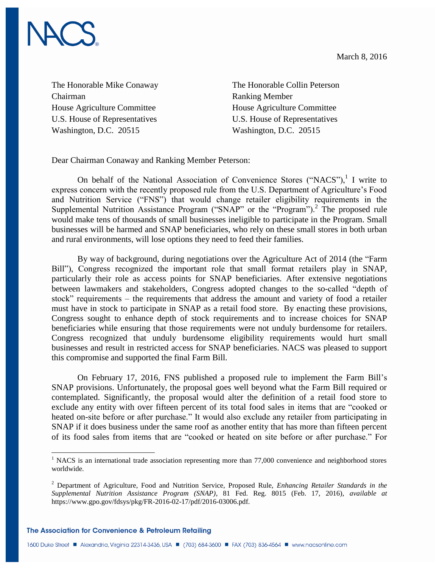March 8, 2016



The Honorable Mike Conaway Chairman House Agriculture Committee U.S. House of Representatives Washington, D.C. 20515

The Honorable Collin Peterson Ranking Member House Agriculture Committee U.S. House of Representatives Washington, D.C. 20515

Dear Chairman Conaway and Ranking Member Peterson:

On behalf of the National Association of Convenience Stores ("NACS"), $^1$  I write to express concern with the recently proposed rule from the U.S. Department of Agriculture's Food and Nutrition Service ("FNS") that would change retailer eligibility requirements in the Supplemental Nutrition Assistance Program ("SNAP" or the "Program").<sup>2</sup> The proposed rule would make tens of thousands of small businesses ineligible to participate in the Program. Small businesses will be harmed and SNAP beneficiaries, who rely on these small stores in both urban and rural environments, will lose options they need to feed their families.

By way of background, during negotiations over the Agriculture Act of 2014 (the "Farm Bill"), Congress recognized the important role that small format retailers play in SNAP, particularly their role as access points for SNAP beneficiaries. After extensive negotiations between lawmakers and stakeholders, Congress adopted changes to the so-called "depth of stock" requirements – the requirements that address the amount and variety of food a retailer must have in stock to participate in SNAP as a retail food store. By enacting these provisions, Congress sought to enhance depth of stock requirements and to increase choices for SNAP beneficiaries while ensuring that those requirements were not unduly burdensome for retailers. Congress recognized that unduly burdensome eligibility requirements would hurt small businesses and result in restricted access for SNAP beneficiaries. NACS was pleased to support this compromise and supported the final Farm Bill.

On February 17, 2016, FNS published a proposed rule to implement the Farm Bill's SNAP provisions. Unfortunately, the proposal goes well beyond what the Farm Bill required or contemplated. Significantly, the proposal would alter the definition of a retail food store to exclude any entity with over fifteen percent of its total food sales in items that are "cooked or heated on-site before or after purchase." It would also exclude any retailer from participating in SNAP if it does business under the same roof as another entity that has more than fifteen percent of its food sales from items that are "cooked or heated on site before or after purchase." For

 $\overline{\phantom{a}}$ 

<sup>&</sup>lt;sup>1</sup> NACS is an international trade association representing more than 77,000 convenience and neighborhood stores worldwide.

<sup>2</sup> Department of Agriculture, Food and Nutrition Service, Proposed Rule, *Enhancing Retailer Standards in the Supplemental Nutrition Assistance Program (SNAP)*, 81 Fed. Reg. 8015 (Feb. 17, 2016), *available at* https://www.gpo.gov/fdsys/pkg/FR-2016-02-17/pdf/2016-03006.pdf.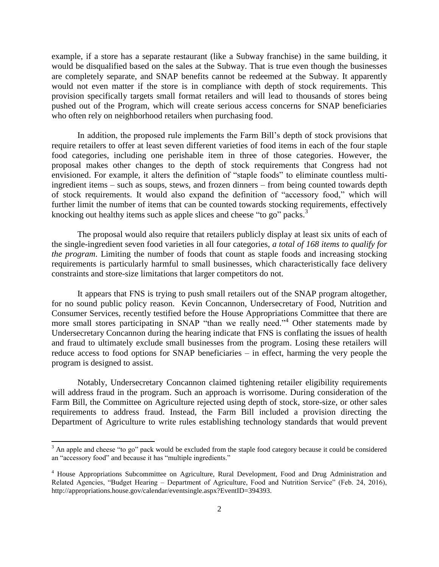example, if a store has a separate restaurant (like a Subway franchise) in the same building, it would be disqualified based on the sales at the Subway. That is true even though the businesses are completely separate, and SNAP benefits cannot be redeemed at the Subway. It apparently would not even matter if the store is in compliance with depth of stock requirements. This provision specifically targets small format retailers and will lead to thousands of stores being pushed out of the Program, which will create serious access concerns for SNAP beneficiaries who often rely on neighborhood retailers when purchasing food.

In addition, the proposed rule implements the Farm Bill's depth of stock provisions that require retailers to offer at least seven different varieties of food items in each of the four staple food categories, including one perishable item in three of those categories. However, the proposal makes other changes to the depth of stock requirements that Congress had not envisioned. For example, it alters the definition of "staple foods" to eliminate countless multiingredient items – such as soups, stews, and frozen dinners – from being counted towards depth of stock requirements. It would also expand the definition of "accessory food," which will further limit the number of items that can be counted towards stocking requirements, effectively knocking out healthy items such as apple slices and cheese "to go" packs.<sup>3</sup>

The proposal would also require that retailers publicly display at least six units of each of the single-ingredient seven food varieties in all four categories, *a total of 168 items to qualify for the program*. Limiting the number of foods that count as staple foods and increasing stocking requirements is particularly harmful to small businesses, which characteristically face delivery constraints and store-size limitations that larger competitors do not.

It appears that FNS is trying to push small retailers out of the SNAP program altogether, for no sound public policy reason. Kevin Concannon, Undersecretary of Food, Nutrition and Consumer Services, recently testified before the House Appropriations Committee that there are more small stores participating in SNAP "than we really need."<sup>4</sup> Other statements made by Undersecretary Concannon during the hearing indicate that FNS is conflating the issues of health and fraud to ultimately exclude small businesses from the program. Losing these retailers will reduce access to food options for SNAP beneficiaries – in effect, harming the very people the program is designed to assist.

Notably, Undersecretary Concannon claimed tightening retailer eligibility requirements will address fraud in the program. Such an approach is worrisome. During consideration of the Farm Bill, the Committee on Agriculture rejected using depth of stock, store-size, or other sales requirements to address fraud. Instead, the Farm Bill included a provision directing the Department of Agriculture to write rules establishing technology standards that would prevent

 $\overline{a}$ 

 $3$  An apple and cheese "to go" pack would be excluded from the staple food category because it could be considered an "accessory food" and because it has "multiple ingredients."

<sup>4</sup> House Appropriations Subcommittee on Agriculture, Rural Development, Food and Drug Administration and Related Agencies, "Budget Hearing – Department of Agriculture, Food and Nutrition Service" (Feb. 24, 2016), http://appropriations.house.gov/calendar/eventsingle.aspx?EventID=394393.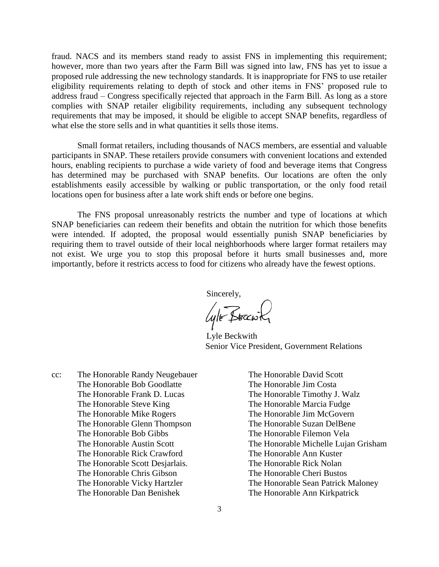fraud. NACS and its members stand ready to assist FNS in implementing this requirement; however, more than two years after the Farm Bill was signed into law, FNS has yet to issue a proposed rule addressing the new technology standards. It is inappropriate for FNS to use retailer eligibility requirements relating to depth of stock and other items in FNS' proposed rule to address fraud – Congress specifically rejected that approach in the Farm Bill. As long as a store complies with SNAP retailer eligibility requirements, including any subsequent technology requirements that may be imposed, it should be eligible to accept SNAP benefits, regardless of what else the store sells and in what quantities it sells those items.

Small format retailers, including thousands of NACS members, are essential and valuable participants in SNAP. These retailers provide consumers with convenient locations and extended hours, enabling recipients to purchase a wide variety of food and beverage items that Congress has determined may be purchased with SNAP benefits. Our locations are often the only establishments easily accessible by walking or public transportation, or the only food retail locations open for business after a late work shift ends or before one begins.

The FNS proposal unreasonably restricts the number and type of locations at which SNAP beneficiaries can redeem their benefits and obtain the nutrition for which those benefits were intended. If adopted, the proposal would essentially punish SNAP beneficiaries by requiring them to travel outside of their local neighborhoods where larger format retailers may not exist. We urge you to stop this proposal before it hurts small businesses and, more importantly, before it restricts access to food for citizens who already have the fewest options.

Sincerely,<br>*Lyle* Bracwky

Lyle Beckwith Senior Vice President, Government Relations

- cc: The Honorable Randy Neugebauer The Honorable Bob Goodlatte The Honorable Frank D. Lucas The Honorable Steve King The Honorable Mike Rogers The Honorable Glenn Thompson The Honorable Bob Gibbs The Honorable Austin Scott The Honorable Rick Crawford The Honorable Scott Desjarlais. The Honorable Chris Gibson The Honorable Vicky Hartzler The Honorable Dan Benishek
- The Honorable David Scott The Honorable Jim Costa The Honorable Timothy J. Walz The Honorable Marcia Fudge The Honorable Jim McGovern The Honorable Suzan DelBene The Honorable Filemon Vela The Honorable Michelle Lujan Grisham The Honorable Ann Kuster The Honorable Rick Nolan The Honorable Cheri Bustos The Honorable Sean Patrick Maloney The Honorable Ann Kirkpatrick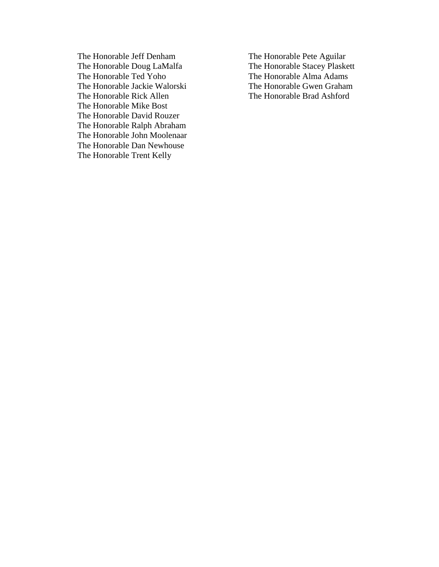The Honorable Jeff Denham The Honorable Doug LaMalfa The Honorable Ted Yoho The Honorable Jackie Walorski The Honorable Rick Allen The Honorable Mike Bost The Honorable David Rouzer The Honorable Ralph Abraham The Honorable John Moolenaar The Honorable Dan Newhouse The Honorable Trent Kelly

The Honorable Pete Aguilar The Honorable Stacey Plaskett The Honorable Alma Adams The Honorable Gwen Graham The Honorable Brad Ashford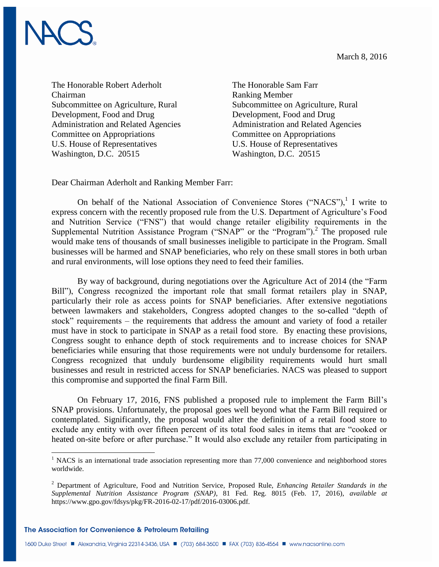March 8, 2016



The Honorable Robert Aderholt Chairman Subcommittee on Agriculture, Rural Development, Food and Drug Administration and Related Agencies Committee on Appropriations U.S. House of Representatives Washington, D.C. 20515

The Honorable Sam Farr Ranking Member Subcommittee on Agriculture, Rural Development, Food and Drug Administration and Related Agencies Committee on Appropriations U.S. House of Representatives Washington, D.C. 20515

Dear Chairman Aderholt and Ranking Member Farr:

On behalf of the National Association of Convenience Stores ("NACS"), $^1$  I write to express concern with the recently proposed rule from the U.S. Department of Agriculture's Food and Nutrition Service ("FNS") that would change retailer eligibility requirements in the Supplemental Nutrition Assistance Program ("SNAP" or the "Program").<sup>2</sup> The proposed rule would make tens of thousands of small businesses ineligible to participate in the Program. Small businesses will be harmed and SNAP beneficiaries, who rely on these small stores in both urban and rural environments, will lose options they need to feed their families.

By way of background, during negotiations over the Agriculture Act of 2014 (the "Farm Bill"), Congress recognized the important role that small format retailers play in SNAP, particularly their role as access points for SNAP beneficiaries. After extensive negotiations between lawmakers and stakeholders, Congress adopted changes to the so-called "depth of stock" requirements – the requirements that address the amount and variety of food a retailer must have in stock to participate in SNAP as a retail food store. By enacting these provisions, Congress sought to enhance depth of stock requirements and to increase choices for SNAP beneficiaries while ensuring that those requirements were not unduly burdensome for retailers. Congress recognized that unduly burdensome eligibility requirements would hurt small businesses and result in restricted access for SNAP beneficiaries. NACS was pleased to support this compromise and supported the final Farm Bill.

On February 17, 2016, FNS published a proposed rule to implement the Farm Bill's SNAP provisions. Unfortunately, the proposal goes well beyond what the Farm Bill required or contemplated. Significantly, the proposal would alter the definition of a retail food store to exclude any entity with over fifteen percent of its total food sales in items that are "cooked or heated on-site before or after purchase." It would also exclude any retailer from participating in

The Association for Convenience & Petroleum Retailing

 $\overline{\phantom{a}}$ 

<sup>&</sup>lt;sup>1</sup> NACS is an international trade association representing more than 77,000 convenience and neighborhood stores worldwide.

<sup>2</sup> Department of Agriculture, Food and Nutrition Service, Proposed Rule, *Enhancing Retailer Standards in the Supplemental Nutrition Assistance Program (SNAP)*, 81 Fed. Reg. 8015 (Feb. 17, 2016), *available at* https://www.gpo.gov/fdsys/pkg/FR-2016-02-17/pdf/2016-03006.pdf.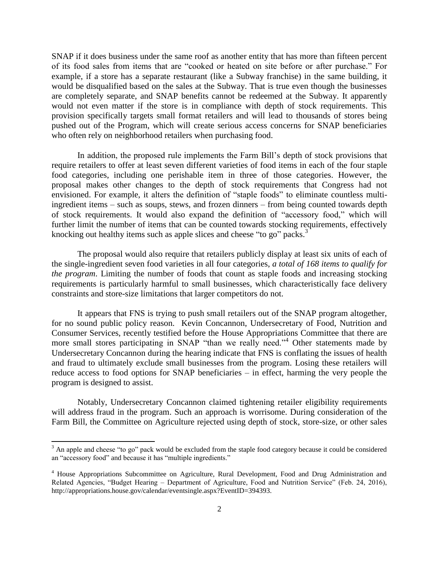SNAP if it does business under the same roof as another entity that has more than fifteen percent of its food sales from items that are "cooked or heated on site before or after purchase." For example, if a store has a separate restaurant (like a Subway franchise) in the same building, it would be disqualified based on the sales at the Subway. That is true even though the businesses are completely separate, and SNAP benefits cannot be redeemed at the Subway. It apparently would not even matter if the store is in compliance with depth of stock requirements. This provision specifically targets small format retailers and will lead to thousands of stores being pushed out of the Program, which will create serious access concerns for SNAP beneficiaries who often rely on neighborhood retailers when purchasing food.

In addition, the proposed rule implements the Farm Bill's depth of stock provisions that require retailers to offer at least seven different varieties of food items in each of the four staple food categories, including one perishable item in three of those categories. However, the proposal makes other changes to the depth of stock requirements that Congress had not envisioned. For example, it alters the definition of "staple foods" to eliminate countless multiingredient items – such as soups, stews, and frozen dinners – from being counted towards depth of stock requirements. It would also expand the definition of "accessory food," which will further limit the number of items that can be counted towards stocking requirements, effectively knocking out healthy items such as apple slices and cheese "to go" packs.<sup>3</sup>

The proposal would also require that retailers publicly display at least six units of each of the single-ingredient seven food varieties in all four categories, *a total of 168 items to qualify for the program*. Limiting the number of foods that count as staple foods and increasing stocking requirements is particularly harmful to small businesses, which characteristically face delivery constraints and store-size limitations that larger competitors do not.

It appears that FNS is trying to push small retailers out of the SNAP program altogether, for no sound public policy reason. Kevin Concannon, Undersecretary of Food, Nutrition and Consumer Services, recently testified before the House Appropriations Committee that there are more small stores participating in SNAP "than we really need."<sup>4</sup> Other statements made by Undersecretary Concannon during the hearing indicate that FNS is conflating the issues of health and fraud to ultimately exclude small businesses from the program. Losing these retailers will reduce access to food options for SNAP beneficiaries – in effect, harming the very people the program is designed to assist.

Notably, Undersecretary Concannon claimed tightening retailer eligibility requirements will address fraud in the program. Such an approach is worrisome. During consideration of the Farm Bill, the Committee on Agriculture rejected using depth of stock, store-size, or other sales

 $\overline{a}$ 

 $3$  An apple and cheese "to go" pack would be excluded from the staple food category because it could be considered an "accessory food" and because it has "multiple ingredients."

<sup>4</sup> House Appropriations Subcommittee on Agriculture, Rural Development, Food and Drug Administration and Related Agencies, "Budget Hearing – Department of Agriculture, Food and Nutrition Service" (Feb. 24, 2016), http://appropriations.house.gov/calendar/eventsingle.aspx?EventID=394393.